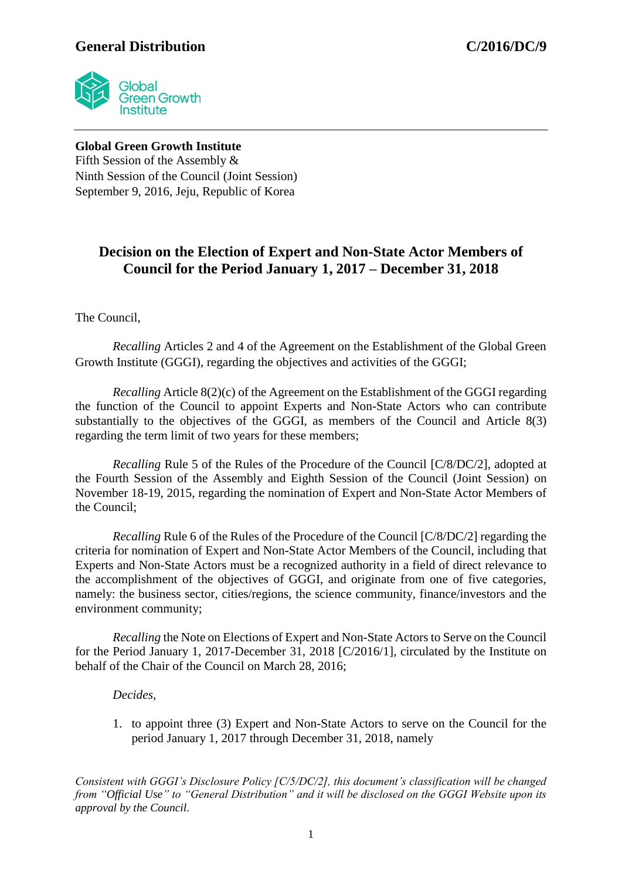## **General Distribution C/2016/DC/9**



**Global Green Growth Institute** Fifth Session of the Assembly & Ninth Session of the Council (Joint Session) September 9, 2016, Jeju, Republic of Korea

## **Decision on the Election of Expert and Non-State Actor Members of Council for the Period January 1, 2017 – December 31, 2018**

The Council,

*Recalling* Articles 2 and 4 of the Agreement on the Establishment of the Global Green Growth Institute (GGGI), regarding the objectives and activities of the GGGI;

*Recalling* Article 8(2)(c) of the Agreement on the Establishment of the GGGI regarding the function of the Council to appoint Experts and Non-State Actors who can contribute substantially to the objectives of the GGGI, as members of the Council and Article 8(3) regarding the term limit of two years for these members;

*Recalling* Rule 5 of the Rules of the Procedure of the Council [C/8/DC/2], adopted at the Fourth Session of the Assembly and Eighth Session of the Council (Joint Session) on November 18-19, 2015, regarding the nomination of Expert and Non-State Actor Members of the Council;

*Recalling* Rule 6 of the Rules of the Procedure of the Council [C/8/DC/2] regarding the criteria for nomination of Expert and Non-State Actor Members of the Council, including that Experts and Non-State Actors must be a recognized authority in a field of direct relevance to the accomplishment of the objectives of GGGI, and originate from one of five categories, namely: the business sector, cities/regions, the science community, finance/investors and the environment community;

*Recalling* the Note on Elections of Expert and Non-State Actors to Serve on the Council for the Period January 1, 2017-December 31, 2018 [C/2016/1], circulated by the Institute on behalf of the Chair of the Council on March 28, 2016;

## *Decides,*

1. to appoint three (3) Expert and Non-State Actors to serve on the Council for the period January 1, 2017 through December 31, 2018, namely

*Consistent with GGGI's Disclosure Policy [C/5/DC/2], this document's classification will be changed from "Official Use" to "General Distribution" and it will be disclosed on the GGGI Website upon its approval by the Council.*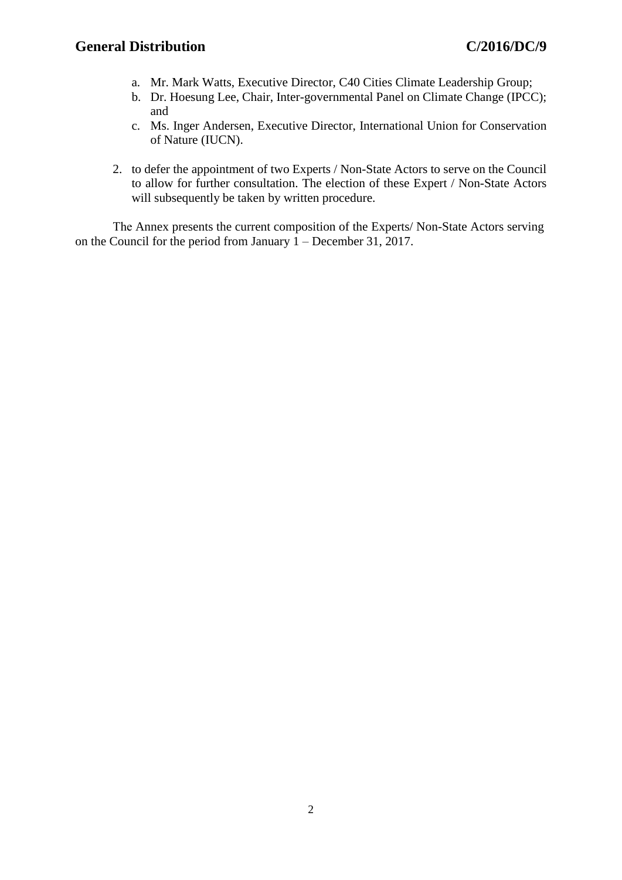- a. Mr. Mark Watts, Executive Director, C40 Cities Climate Leadership Group;
- b. Dr. Hoesung Lee, Chair, Inter-governmental Panel on Climate Change (IPCC); and
- c. Ms. Inger Andersen, Executive Director, International Union for Conservation of Nature (IUCN).
- 2. to defer the appointment of two Experts / Non-State Actors to serve on the Council to allow for further consultation. The election of these Expert / Non-State Actors will subsequently be taken by written procedure.

The Annex presents the current composition of the Experts/ Non-State Actors serving on the Council for the period from January 1 – December 31, 2017.